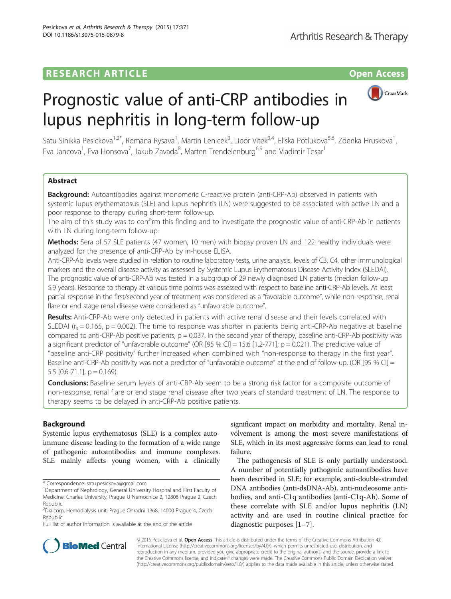# **RESEARCH ARTICLE Example 2014 12:30 THE OPEN ACCESS**



# Prognostic value of anti-CRP antibodies in lupus nephritis in long-term follow-up

Satu Sinikka Pesickova<sup>1,2\*</sup>, Romana Rysava<sup>1</sup>, Martin Lenicek<sup>3</sup>, Libor Vitek<sup>3,4</sup>, Eliska Potlukova<sup>5,6</sup>, Zdenka Hruskova<sup>1</sup> , Eva Jancova<sup>1</sup>, Eva Honsova<sup>7</sup>, Jakub Zavada<sup>8</sup>, Marten Trendelenburg<sup>6,9</sup> and Vladimir Tesar<sup>1</sup>

# Abstract

Background: Autoantibodies against monomeric C-reactive protein (anti-CRP-Ab) observed in patients with systemic lupus erythematosus (SLE) and lupus nephritis (LN) were suggested to be associated with active LN and a poor response to therapy during short-term follow-up.

The aim of this study was to confirm this finding and to investigate the prognostic value of anti-CRP-Ab in patients with LN during long-term follow-up.

Methods: Sera of 57 SLE patients (47 women, 10 men) with biopsy proven LN and 122 healthy individuals were analyzed for the presence of anti-CRP-Ab by in-house ELISA.

Anti-CRP-Ab levels were studied in relation to routine laboratory tests, urine analysis, levels of C3, C4, other immunological markers and the overall disease activity as assessed by Systemic Lupus Erythematosus Disease Activity Index (SLEDAI). The prognostic value of anti-CRP-Ab was tested in a subgroup of 29 newly diagnosed LN patients (median follow-up 5.9 years). Response to therapy at various time points was assessed with respect to baseline anti-CRP-Ab levels. At least partial response in the first/second year of treatment was considered as a "favorable outcome", while non-response, renal flare or end stage renal disease were considered as "unfavorable outcome".

Results: Anti-CRP-Ab were only detected in patients with active renal disease and their levels correlated with SLEDAI ( $r_s = 0.165$ ,  $p = 0.002$ ). The time to response was shorter in patients being anti-CRP-Ab negative at baseline compared to anti-CRP-Ab positive patients,  $p = 0.037$ . In the second year of therapy, baseline anti-CRP-Ab positivity was a significant predictor of "unfavorable outcome" (OR [95 % CI] = 15.6 [1.2-771]; p = 0.021). The predictive value of "baseline anti-CRP positivity" further increased when combined with "non-response to therapy in the first year". Baseline anti-CRP-Ab positivity was not a predictor of "unfavorable outcome" at the end of follow-up, (OR [95 % CI] = 5.5  $[0.6 - 71.1]$ ,  $p = 0.169$ ).

**Conclusions:** Baseline serum levels of anti-CRP-Ab seem to be a strong risk factor for a composite outcome of non-response, renal flare or end stage renal disease after two years of standard treatment of LN. The response to therapy seems to be delayed in anti-CRP-Ab positive patients.

# Background

Systemic lupus erythematosus (SLE) is a complex autoimmune disease leading to the formation of a wide range of pathogenic autoantibodies and immune complexes. SLE mainly affects young women, with a clinically

Full list of author information is available at the end of the article

significant impact on morbidity and mortality. Renal involvement is among the most severe manifestations of SLE, which in its most aggressive forms can lead to renal failure.

The pathogenesis of SLE is only partially understood. A number of potentially pathogenic autoantibodies have been described in SLE; for example, anti-double-stranded DNA antibodies (anti-dsDNA-Ab), anti-nucleosome antibodies, and anti-C1q antibodies (anti-C1q-Ab). Some of these correlate with SLE and/or lupus nephritis (LN) activity and are used in routine clinical practice for diagnostic purposes [\[1](#page-6-0)–[7](#page-6-0)].



© 2015 Pesickova et al. Open Access This article is distributed under the terms of the Creative Commons Attribution 4.0 International License [\(http://creativecommons.org/licenses/by/4.0/](http://creativecommons.org/licenses/by/4.0/)), which permits unrestricted use, distribution, and reproduction in any medium, provided you give appropriate credit to the original author(s) and the source, provide a link to the Creative Commons license, and indicate if changes were made. The Creative Commons Public Domain Dedication waiver [\(http://creativecommons.org/publicdomain/zero/1.0/](http://creativecommons.org/publicdomain/zero/1.0/)) applies to the data made available in this article, unless otherwise stated.

<sup>\*</sup> Correspondence: [satu.pesickova@gmail.com](mailto:satu.pesickova@gmail.com) <sup>1</sup>

<sup>&</sup>lt;sup>1</sup>Department of Nephrology, General University Hospital and First Faculty of Medicine, Charles University, Prague U Nemocnice 2, 12808 Prague 2, Czech Republic

<sup>2</sup> Dialcorp, Hemodialysis unit, Prague Ohradni 1368, 14000 Prague 4, Czech Republic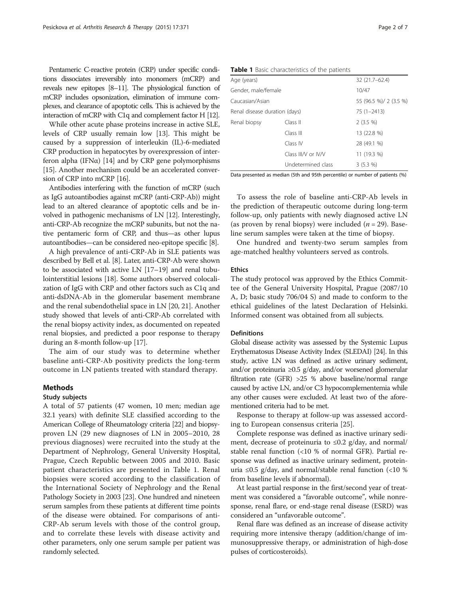Pentameric C-reactive protein (CRP) under specific conditions dissociates irreversibly into monomers (mCRP) and reveals new epitopes [\[8](#page-6-0)–[11\]](#page-6-0). The physiological function of mCRP includes opsonization, elimination of immune complexes, and clearance of apoptotic cells. This is achieved by the interaction of mCRP with C1q and complement factor H [\[12](#page-6-0)].

While other acute phase proteins increase in active SLE, levels of CRP usually remain low [\[13\]](#page-6-0). This might be caused by a suppression of interleukin (IL)-6-mediated CRP production in hepatocytes by overexpression of interferon alpha (IFN $\alpha$ ) [\[14\]](#page-6-0) and by CRP gene polymorphisms [[15](#page-6-0)]. Another mechanism could be an accelerated conversion of CRP into mCRP [\[16\]](#page-6-0).

Antibodies interfering with the function of mCRP (such as IgG autoantibodies against mCRP (anti-CRP-Ab)) might lead to an altered clearance of apoptotic cells and be involved in pathogenic mechanisms of LN [\[12\]](#page-6-0). Interestingly, anti-CRP-Ab recognize the mCRP subunits, but not the native pentameric form of CRP, and thus—as other lupus autoantibodies—can be considered neo-epitope specific [\[8\]](#page-6-0).

A high prevalence of anti-CRP-Ab in SLE patients was described by Bell et al. [\[8\]](#page-6-0). Later, anti-CRP-Ab were shown to be associated with active LN [[17](#page-6-0)–[19](#page-6-0)] and renal tubulointerstitial lesions [[18\]](#page-6-0). Some authors observed colocalization of IgG with CRP and other factors such as C1q and anti-dsDNA-Ab in the glomerular basement membrane and the renal subendothelial space in LN [\[20](#page-6-0), [21](#page-6-0)]. Another study showed that levels of anti-CRP-Ab correlated with the renal biopsy activity index, as documented on repeated renal biopsies, and predicted a poor response to therapy during an 8-month follow-up [[17](#page-6-0)].

The aim of our study was to determine whether baseline anti-CRP-Ab positivity predicts the long-term outcome in LN patients treated with standard therapy.

# Methods

#### Study subjects

A total of 57 patients (47 women, 10 men; median age 32.1 years) with definite SLE classified according to the American College of Rheumatology criteria [\[22\]](#page-6-0) and biopsyproven LN (29 new diagnoses of LN in 2005–2010, 28 previous diagnoses) were recruited into the study at the Department of Nephrology, General University Hospital, Prague, Czech Republic between 2005 and 2010. Basic patient characteristics are presented in Table 1. Renal biopsies were scored according to the classification of the International Society of Nephrology and the Renal Pathology Society in 2003 [\[23\]](#page-6-0). One hundred and nineteen serum samples from these patients at different time points of the disease were obtained. For comparisons of anti-CRP-Ab serum levels with those of the control group, and to correlate these levels with disease activity and other parameters, only one serum sample per patient was randomly selected.

| Table 1 Basic characteristics of the patients |  |
|-----------------------------------------------|--|
|-----------------------------------------------|--|

| Age (years)                   |                     | 32 (21.7-62.4)         |
|-------------------------------|---------------------|------------------------|
| Gender, male/female           |                     | 10/47                  |
| Caucasian/Asian               |                     | 55 (96.5 %)/ 2 (3.5 %) |
| Renal disease duration (days) |                     | $75(1 - 2413)$         |
| Renal biopsy                  | Class II            | $2(3.5\%)$             |
|                               | Class III           | 13 (22.8 %)            |
|                               | Class IV            | 28 (49.1 %)            |
|                               | Class III/V or IV/V | 11 (19.3 %)            |
|                               | Undetermined class  | 3(5.3%                 |

Data presented as median (5th and 95th percentile) or number of patients (%)

To assess the role of baseline anti-CRP-Ab levels in the prediction of therapeutic outcome during long-term follow-up, only patients with newly diagnosed active LN (as proven by renal biopsy) were included  $(n = 29)$ . Baseline serum samples were taken at the time of biopsy.

One hundred and twenty-two serum samples from age-matched healthy volunteers served as controls.

#### Ethics

The study protocol was approved by the Ethics Committee of the General University Hospital, Prague (2087/10 A, D; basic study 706/04 S) and made to conform to the ethical guidelines of the latest Declaration of Helsinki. Informed consent was obtained from all subjects.

#### **Definitions**

Global disease activity was assessed by the Systemic Lupus Erythematosus Disease Activity Index (SLEDAI) [[24\]](#page-6-0). In this study, active LN was defined as active urinary sediment, and/or proteinuria ≥0.5 g/day, and/or worsened glomerular filtration rate (GFR) >25 % above baseline/normal range caused by active LN, and/or C3 hypocomplementemia while any other causes were excluded. At least two of the aforementioned criteria had to be met.

Response to therapy at follow-up was assessed according to European consensus criteria [[25\]](#page-6-0).

Complete response was defined as inactive urinary sediment, decrease of proteinuria to ≤0.2 g/day, and normal/ stable renal function (<10 % of normal GFR). Partial response was defined as inactive urinary sediment, proteinuria ≤0.5 g/day, and normal/stable renal function (<10 % from baseline levels if abnormal).

At least partial response in the first/second year of treatment was considered a "favorable outcome", while nonresponse, renal flare, or end-stage renal disease (ESRD) was considered an "unfavorable outcome".

Renal flare was defined as an increase of disease activity requiring more intensive therapy (addition/change of immunosuppressive therapy, or administration of high-dose pulses of corticosteroids).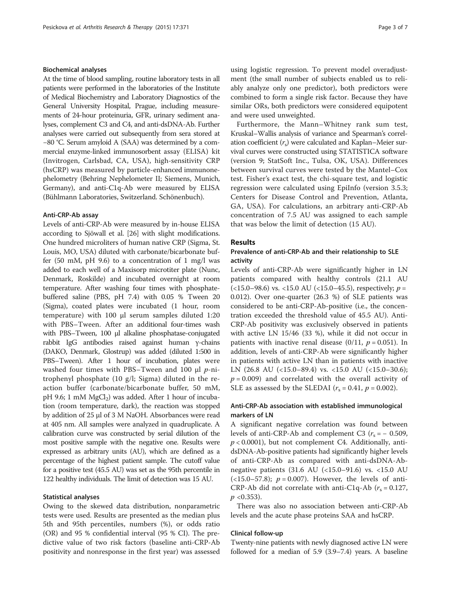#### Biochemical analyses

At the time of blood sampling, routine laboratory tests in all patients were performed in the laboratories of the Institute of Medical Biochemistry and Laboratory Diagnostics of the General University Hospital, Prague, including measurements of 24-hour proteinuria, GFR, urinary sediment analyses, complement C3 and C4, and anti-dsDNA-Ab. Further analyses were carried out subsequently from sera stored at −80 °C. Serum amyloid A (SAA) was determined by a commercial enzyme-linked immunosorbent assay (ELISA) kit (Invitrogen, Carlsbad, CA, USA), high-sensitivity CRP (hsCRP) was measured by particle-enhanced immunonephelometry (Behring Nephelometer II; Siemens, Munich, Germany), and anti-C1q-Ab were measured by ELISA (Bühlmann Laboratories, Switzerland. Schönenbuch).

#### Anti-CRP-Ab assay

Levels of anti-CRP-Ab were measured by in-house ELISA according to Sjöwall et al. [[26](#page-6-0)] with slight modifications. One hundred microliters of human native CRP (Sigma, St. Louis, MO, USA) diluted with carbonate/bicarbonate buffer (50 mM, pH 9.6) to a concentration of 1 mg/l was added to each well of a Maxisorp microtiter plate (Nunc, Denmark, Roskilde) and incubated overnight at room temperature. After washing four times with phosphatebuffered saline (PBS, pH 7.4) with 0.05 % Tween 20 (Sigma), coated plates were incubated (1 hour, room temperature) with 100 μl serum samples diluted 1:20 with PBS–Tween. After an additional four-times wash with PBS–Tween, 100 μl alkaline phosphatase-conjugated rabbit IgG antibodies raised against human γ-chains (DAKO, Denmark, Glostrup) was added (diluted 1:500 in PBS–Tween). After 1 hour of incubation, plates were washed four times with PBS–Tween and 100  $\mu$ l p-nitrophenyl phosphate (10 g/l; Sigma) diluted in the reaction buffer (carbonate/bicarbonate buffer, 50 mM, pH 9.6; 1 mM  $MgCl<sub>2</sub>$ ) was added. After 1 hour of incubation (room temperature, dark), the reaction was stopped by addition of 25 μl of 3 M NaOH. Absorbances were read at 405 nm. All samples were analyzed in quadruplicate. A calibration curve was constructed by serial dilution of the most positive sample with the negative one. Results were expressed as arbitrary units (AU), which are defined as a percentage of the highest patient sample. The cutoff value for a positive test (45.5 AU) was set as the 95th percentile in 122 healthy individuals. The limit of detection was 15 AU.

#### Statistical analyses

Owing to the skewed data distribution, nonparametric tests were used. Results are presented as the median plus 5th and 95th percentiles, numbers (%), or odds ratio (OR) and 95 % confidential interval (95 % CI). The predictive value of two risk factors (baseline anti-CRP-Ab positivity and nonresponse in the first year) was assessed

using logistic regression. To prevent model overadjustment (the small number of subjects enabled us to reliably analyze only one predictor), both predictors were combined to form a single risk factor. Because they have similar ORs, both predictors were considered equipotent and were used unweighted.

Furthermore, the Mann–Whitney rank sum test, Kruskal–Wallis analysis of variance and Spearman's correlation coefficient  $(r<sub>s</sub>)$  were calculated and Kaplan–Meier survival curves were constructed using STATISTICA software (version 9; StatSoft Inc., Tulsa, OK, USA). Differences between survival curves were tested by the Mantel–Cox test. Fisher's exact test, the chi-square test, and logistic regression were calculated using EpiInfo (version 3.5.3; Centers for Disease Control and Prevention, Atlanta, GA, USA). For calculations, an arbitrary anti-CRP-Ab concentration of 7.5 AU was assigned to each sample that was below the limit of detection (15 AU).

#### Results

# Prevalence of anti-CRP-Ab and their relationship to SLE activity

Levels of anti-CRP-Ab were significantly higher in LN patients compared with healthy controls (21.1 AU (<15.0–98.6) vs. <15.0 AU (<15.0–45.5), respectively;  $p =$ 0.012). Over one-quarter (26.3 %) of SLE patients was considered to be anti-CRP-Ab-positive (i.e., the concentration exceeded the threshold value of 45.5 AU). Anti-CRP-Ab positivity was exclusively observed in patients with active LN 15/46 (33 %), while it did not occur in patients with inactive renal disease  $(0/11, p = 0.051)$ . In addition, levels of anti-CRP-Ab were significantly higher in patients with active LN than in patients with inactive LN (26.8 AU (<15.0–89.4) vs. <15.0 AU (<15.0–30.6);  $p = 0.009$ ) and correlated with the overall activity of SLE as assessed by the SLEDAI ( $r_s = 0.41$ ,  $p = 0.002$ ).

# Anti-CRP-Ab association with established immunological markers of LN

A significant negative correlation was found between levels of anti-CRP-Ab and complement C3 ( $r_s = -0.509$ ,  $p < 0.0001$ ), but not complement C4. Additionally, antidsDNA-Ab-positive patients had significantly higher levels of anti-CRP-Ab as compared with anti-dsDNA-Abnegative patients (31.6 AU (<15.0–91.6) vs. <15.0 AU  $(\langle 15.0 - 57.8 \rangle; p = 0.007)$ . However, the levels of anti-CRP-Ab did not correlate with anti-C1q-Ab  $(r<sub>s</sub> = 0.127,$  $p \langle 0.353 \rangle$ .

There was also no association between anti-CRP-Ab levels and the acute phase proteins SAA and hsCRP.

### Clinical follow-up

Twenty-nine patients with newly diagnosed active LN were followed for a median of 5.9 (3.9–7.4) years. A baseline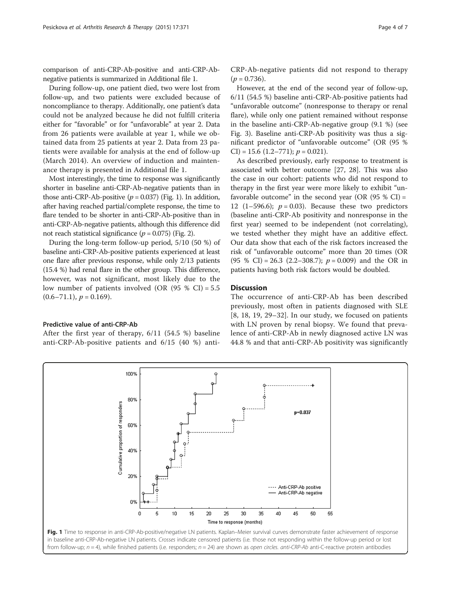comparison of anti-CRP-Ab-positive and anti-CRP-Abnegative patients is summarized in Additional file [1.](#page-5-0)

During follow-up, one patient died, two were lost from follow-up, and two patients were excluded because of noncompliance to therapy. Additionally, one patient's data could not be analyzed because he did not fulfill criteria either for "favorable" or for "unfavorable" at year 2. Data from 26 patients were available at year 1, while we obtained data from 25 patients at year 2. Data from 23 patients were available for analysis at the end of follow-up (March 2014). An overview of induction and maintenance therapy is presented in Additional file [1](#page-5-0).

Most interestingly, the time to response was significantly shorter in baseline anti-CRP-Ab-negative patients than in those anti-CRP-Ab-positive ( $p = 0.037$ ) (Fig. 1). In addition, after having reached partial/complete response, the time to flare tended to be shorter in anti-CRP-Ab-positive than in anti-CRP-Ab-negative patients, although this difference did not reach statistical significance ( $p = 0.075$ ) (Fig. [2](#page-4-0)).

During the long-term follow-up period, 5/10 (50 %) of baseline anti-CRP-Ab-positive patients experienced at least one flare after previous response, while only 2/13 patients (15.4 %) had renal flare in the other group. This difference, however, was not significant, most likely due to the low number of patients involved (OR  $(95 % CI) = 5.5$  $(0.6–71.1), p = 0.169$ .

#### Predictive value of anti-CRP-Ab

After the first year of therapy, 6/11 (54.5 %) baseline anti-CRP-Ab-positive patients and 6/15 (40 %) antiCRP-Ab-negative patients did not respond to therapy  $(p = 0.736)$ .

However, at the end of the second year of follow-up, 6/11 (54.5 %) baseline anti-CRP-Ab-positive patients had "unfavorable outcome" (nonresponse to therapy or renal flare), while only one patient remained without response in the baseline anti-CRP-Ab-negative group (9.1 %) (see Fig. [3](#page-4-0)). Baseline anti-CRP-Ab positivity was thus a significant predictor of "unfavorable outcome" (OR (95 % CI) = 15.6 (1.2–771);  $p = 0.021$ ).

As described previously, early response to treatment is associated with better outcome [[27](#page-6-0), [28\]](#page-6-0). This was also the case in our cohort: patients who did not respond to therapy in the first year were more likely to exhibit "unfavorable outcome" in the second year (OR  $(95 \% \text{ CI}) =$ 12 (1–596.6);  $p = 0.03$ ). Because these two predictors (baseline anti-CRP-Ab positivity and nonresponse in the first year) seemed to be independent (not correlating), we tested whether they might have an additive effect. Our data show that each of the risk factors increased the risk of "unfavorable outcome" more than 20 times (OR (95 % CI) = 26.3 (2.2–308.7);  $p = 0.009$ ) and the OR in patients having both risk factors would be doubled.

#### **Discussion**

The occurrence of anti-CRP-Ab has been described previously, most often in patients diagnosed with SLE [[8, 18](#page-6-0), [19, 29](#page-6-0)–[32\]](#page-6-0). In our study, we focused on patients with LN proven by renal biopsy. We found that prevalence of anti-CRP-Ab in newly diagnosed active LN was 44.8 % and that anti-CRP-Ab positivity was significantly

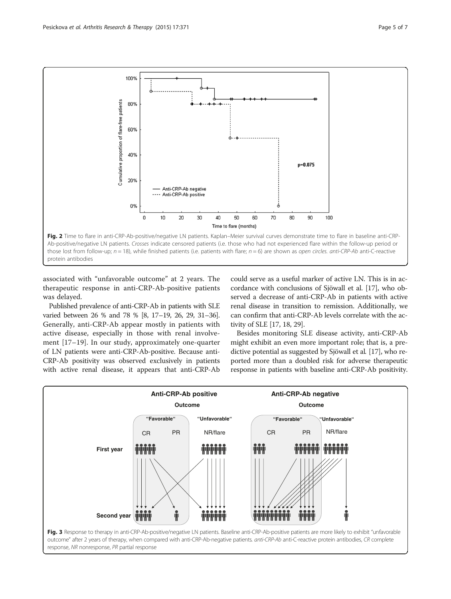<span id="page-4-0"></span>

associated with "unfavorable outcome" at 2 years. The therapeutic response in anti-CRP-Ab-positive patients was delayed.

Published prevalence of anti-CRP-Ab in patients with SLE varied between 26 % and 78 % [[8](#page-6-0), [17](#page-6-0)–[19, 26, 29](#page-6-0), [31](#page-6-0)–[36\]](#page-6-0). Generally, anti-CRP-Ab appear mostly in patients with active disease, especially in those with renal involvement [[17](#page-6-0)–[19](#page-6-0)]. In our study, approximately one-quarter of LN patients were anti-CRP-Ab-positive. Because anti-CRP-Ab positivity was observed exclusively in patients with active renal disease, it appears that anti-CRP-Ab could serve as a useful marker of active LN. This is in accordance with conclusions of Sjöwall et al. [\[17\]](#page-6-0), who observed a decrease of anti-CRP-Ab in patients with active renal disease in transition to remission. Additionally, we can confirm that anti-CRP-Ab levels correlate with the activity of SLE [\[17, 18](#page-6-0), [29](#page-6-0)].

Besides monitoring SLE disease activity, anti-CRP-Ab might exhibit an even more important role; that is, a predictive potential as suggested by Sjöwall et al. [\[17\]](#page-6-0), who reported more than a doubled risk for adverse therapeutic response in patients with baseline anti-CRP-Ab positivity.

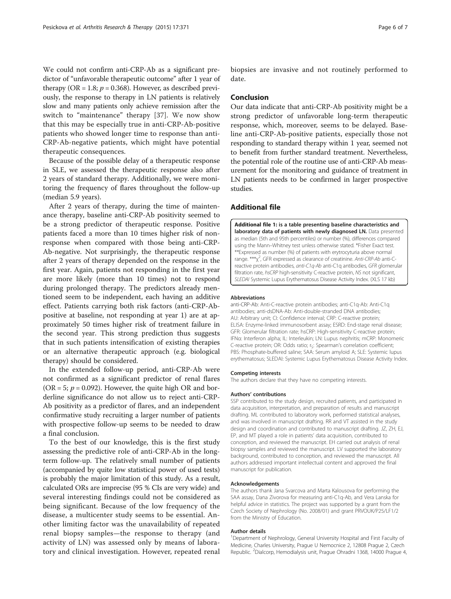<span id="page-5-0"></span>We could not confirm anti-CRP-Ab as a significant predictor of "unfavorable therapeutic outcome" after 1 year of therapy (OR = 1.8;  $p = 0.368$ ). However, as described previously, the response to therapy in LN patients is relatively slow and many patients only achieve remission after the switch to "maintenance" therapy [[37\]](#page-6-0). We now show that this may be especially true in anti-CRP-Ab-positive patients who showed longer time to response than anti-CRP-Ab-negative patients, which might have potential therapeutic consequences.

Because of the possible delay of a therapeutic response in SLE, we assessed the therapeutic response also after 2 years of standard therapy. Additionally, we were monitoring the frequency of flares throughout the follow-up (median 5.9 years).

After 2 years of therapy, during the time of maintenance therapy, baseline anti-CRP-Ab positivity seemed to be a strong predictor of therapeutic response. Positive patients faced a more than 10 times higher risk of nonresponse when compared with those being anti-CRP-Ab-negative. Not surprisingly, the therapeutic response after 2 years of therapy depended on the response in the first year. Again, patients not responding in the first year are more likely (more than 10 times) not to respond during prolonged therapy. The predictors already mentioned seem to be independent, each having an additive effect. Patients carrying both risk factors (anti-CRP-Abpositive at baseline, not responding at year 1) are at approximately 50 times higher risk of treatment failure in the second year. This strong prediction thus suggests that in such patients intensification of existing therapies or an alternative therapeutic approach (e.g. biological therapy) should be considered.

In the extended follow-up period, anti-CRP-Ab were not confirmed as a significant predictor of renal flares (OR = 5;  $p = 0.092$ ). However, the quite high OR and borderline significance do not allow us to reject anti-CRP-Ab positivity as a predictor of flares, and an independent confirmative study recruiting a larger number of patients with prospective follow-up seems to be needed to draw a final conclusion.

To the best of our knowledge, this is the first study assessing the predictive role of anti-CRP-Ab in the longterm follow-up. The relatively small number of patients (accompanied by quite low statistical power of used tests) is probably the major limitation of this study. As a result, calculated ORs are imprecise (95 % CIs are very wide) and several interesting findings could not be considered as being significant. Because of the low frequency of the disease, a multicenter study seems to be essential. Another limiting factor was the unavailability of repeated renal biopsy samples—the response to therapy (and activity of LN) was assessed only by means of laboratory and clinical investigation. However, repeated renal

biopsies are invasive and not routinely performed to date.

#### Conclusion

Our data indicate that anti-CRP-Ab positivity might be a strong predictor of unfavorable long-term therapeutic response, which, moreover, seems to be delayed. Baseline anti-CRP-Ab-positive patients, especially those not responding to standard therapy within 1 year, seemed not to benefit from further standard treatment. Nevertheless, the potential role of the routine use of anti-CRP-Ab measurement for the monitoring and guidance of treatment in LN patients needs to be confirmed in larger prospective studies.

## Additional file

[Additional file 1:](dx.doi.org/10.1186/s13075-015-0879-8) is a table presenting baseline characteristics and laboratory data of patients with newly diagnosed LN. Data presented as median (5th and 95th percentiles) or number (%), differences compared using the Mann–Whitney test unless otherwise stated. \*Fisher Exact test. \*\*Expressed as number (%) of patients with erytrocyturia above normal range. \*\*\* χ<sup>2</sup>, GFR expressed as clearance of creatinine. Anti-CRP-Ab anti-Creactive protein antibodies, anti-C1q-Ab anti-C1q antibodies, GFR glomerular filtration rate, hsCRP high-sensitivity C-reactive protein, NS not significant, SLEDAI Systemic Lupus Erythematosus Disease Activity Index. (XLS 17 kb)

#### Abbreviations

anti-CRP-Ab: Anti-C-reactive protein antibodies; anti-C1q-Ab: Anti-C1q antibodies; anti-dsDNA-Ab: Anti-double-stranded DNA antibodies; AU: Arbitrary unit; CI: Confidence interval; CRP: C-reactive protein; ELISA: Enzyme-linked immunosorbent assay; ESRD: End-stage renal disease; GFR: Glomerular filtration rate; hsCRP: High-sensitivity C-reactive protein; IFNα: Interferon alpha; IL: Interleukin; LN: Lupus nephritis; mCRP: Monomeric C-reactive protein; OR: Odds ratio; rs: Spearman's correlation coefficient; PBS: Phosphate-buffered saline; SAA: Serum amyloid A; SLE: Systemic lupus erythematosus; SLEDAI: Systemic Lupus Erythematosus Disease Activity Index.

#### Competing interests

The authors declare that they have no competing interests.

#### Authors' contributions

SSP contributed to the study design, recruited patients, and participated in data acquisition, interpretation, and preparation of results and manuscript drafting. ML contributed to laboratory work, performed statistical analyses, and was involved in manuscript drafting. RR and VT assisted in the study design and coordination and contributed to manuscript drafting. JZ, ZH, EJ, EP, and MT played a role in patients' data acquisition, contributed to conception, and reviewed the manuscript. EH carried out analysis of renal biopsy samples and reviewed the manuscript. LV supported the laboratory background, contributed to conception, and reviewed the manuscript. All authors addressed important intellectual content and approved the final manuscript for publication.

#### Acknowledgements

The authors thank Jana Svarcova and Marta Kalousova for performing the SAA assay, Dana Zivorova for measuring anti-C1q-Ab, and Vera Lanska for helpful advice in statistics. The project was supported by a grant from the Czech Society of Nephrology (No. 2008/01) and grant PRVOUK/P25/LF1/2 from the Ministry of Education.

#### Author details

<sup>1</sup>Department of Nephrology, General University Hospital and First Faculty of Medicine, Charles University, Prague U Nemocnice 2, 12808 Prague 2, Czech Republic. <sup>2</sup>Dialcorp, Hemodialysis unit, Prague Ohradni 1368, 14000 Prague 4,